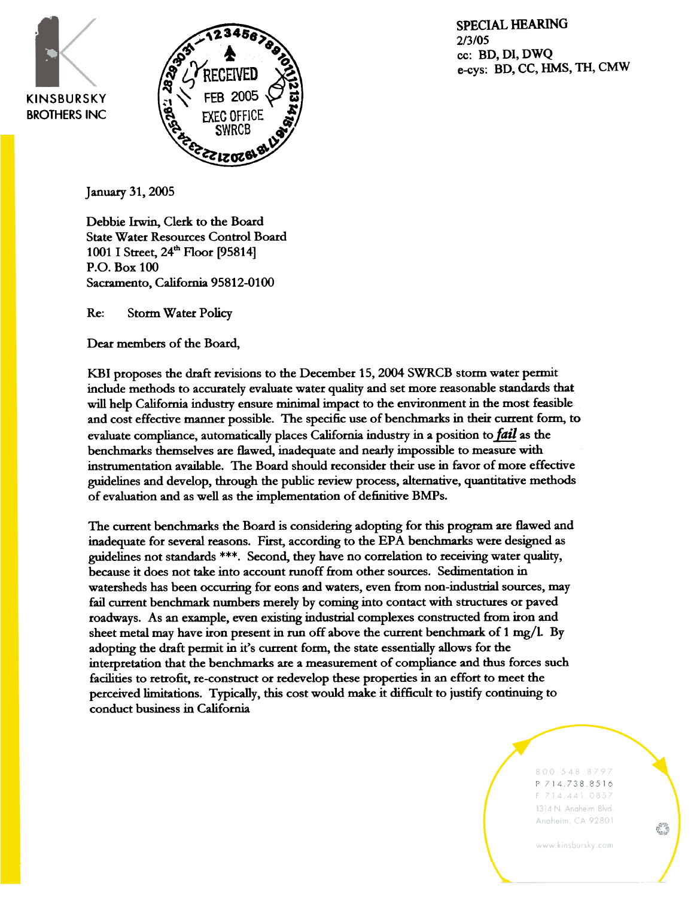



**SPECIAL HEARING** 2/3/05 cc: BD, DI, DWQ e-cys: BD, CC, HMS, TH, CMW

January 31, 2005

Debbie Irwin, Clerk to the Board State Water Resources Control Board 1001 I Street, 24<sup>th</sup> Floor [95814] P.O. Box 100 Sacramento, California 95812-0100

Re: Storm Water Policy

Dear members of the Board,

KBI proposes the draft revisions to the December 15, 2004 SWRCB storm water permit include methods to accurately evaluate water quality and set more reasonable standards that will help California industry ensure minimal impact to the environment in the most feasible and cost effective manner possible. The specific use of benchmarks in their current form, to evaluate compliance, automatically places California industry in a position to *fail* as the benchmarks themselves are flawed, inadequate and nearly impossible to measure with instrumentation available. The Board should reconsider their use in favor of more effective guidelines and develop, through the public review process, alternative, quantitative methods of evaluation and as well as the implementation of definitive BMPs.

The current benchmarks the Board is considering adopting for this program are flawed and inadequate for several reasons. First, according to the EPA benchmarks were designed as guidelines not standards \*\*\*. Second, they have no correlation to receiving water quality, because it does not take into account runoff from other sources. Sedimentation in watersheds has been occurring for eons and waters, even from non-industrial sources, may fail current benchmark numbers merely by coming into contact with structures or paved roadways. As an example, even existing industrial complexes constructed from iron and sheet metal may have iron present in run off above the current benchmark of 1 mg/l. By adopting the draft pennit in it's current form, the state essentially allows for the interpretation that the benchmarks are a measurement of compliance and thus forces such facilities to retrofit, re-construct or redevelop these properties in an effort to meet the perceived limitations. Typically, this cost would make it difficult to justify continuing to conduct business in California

> 800.548.8797 P 714.738.8516 F 714.441.0857 1314 N. Angheim Blvd. Anaheim, CA 92801

www.kinsbursky.com

¢Ž